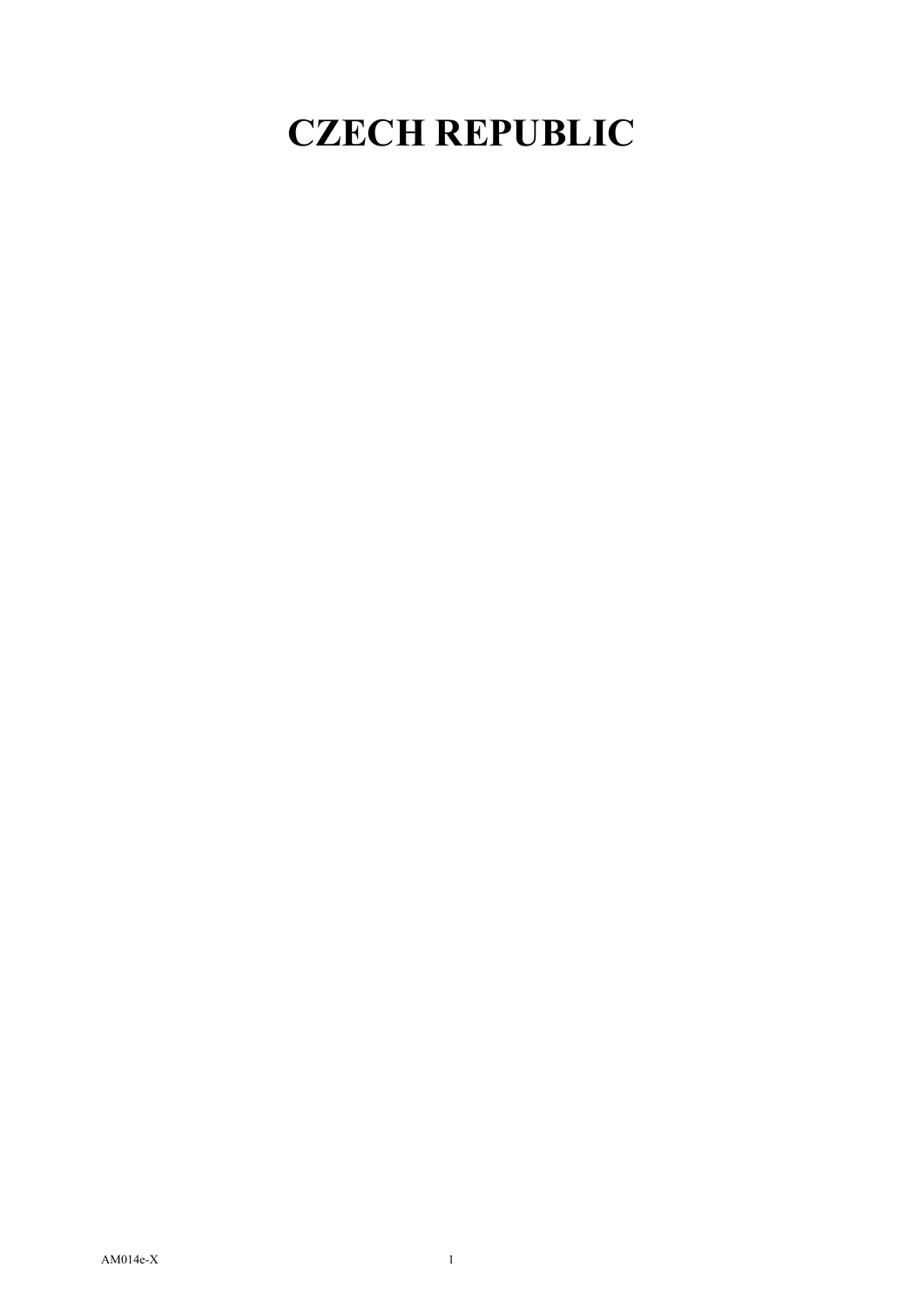## **CZECH REPUBLIC**